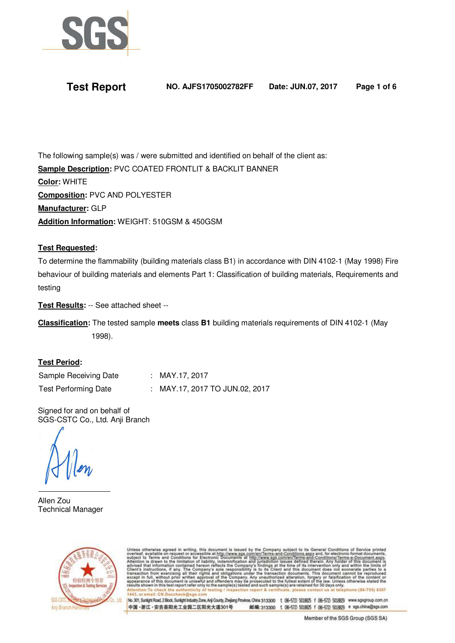

# **Test Report NO. AJFS1705002782FF Date: JUN.07, 2017 Page 1 of 6**

The following sample(s) was / were submitted and identified on behalf of the client as: **Sample Description:** PVC COATED FRONTLIT & BACKLIT BANNER **Color:** WHITE **Composition:** PVC AND POLYESTER **Manufacturer:** GLP **Addition Information:** WEIGHT: 510GSM & 450GSM

## **Test Requested:**

To determine the flammability (building materials class B1) in accordance with DIN 4102-1 (May 1998) Fire behaviour of building materials and elements Part 1: Classification of building materials, Requirements and testing

**Test Results:** -- See attached sheet --

**Classification:** The tested sample **meets** class **B1** building materials requirements of DIN 4102-1 (May 1998).

### **Test Period:**

Sample Receiving Date : MAY.17, 2017

Test Performing Date : MAY.17, 2017 TO JUN.02, 2017

Signed for and on behalf of SGS-CSTC Co., Ltd. Anji Branch

Allen Zou Technical Manager



therwise agreed in writing, this document is issued by the Company subject to its General Conditions of Service printed<br>to Terms and Conditions for accessible at http://www.sgs.com/en/Terms-and-Conditions.Tagsxsand, for el & certifica

No. 301, Sunlight Road, 2 Block, Sunlight Industry Zone, Anji County, Zhejiang Province, China 313300 t (96-572) 5018625 f (96-572) 5018629 www.sgsgroup.com.cn 中国·浙江·安吉县阳光工业园二区阳光大道301号 邮编:313300 t (所-572) 5018625 f (所-572) 5018629 e sgs.china@sgs.com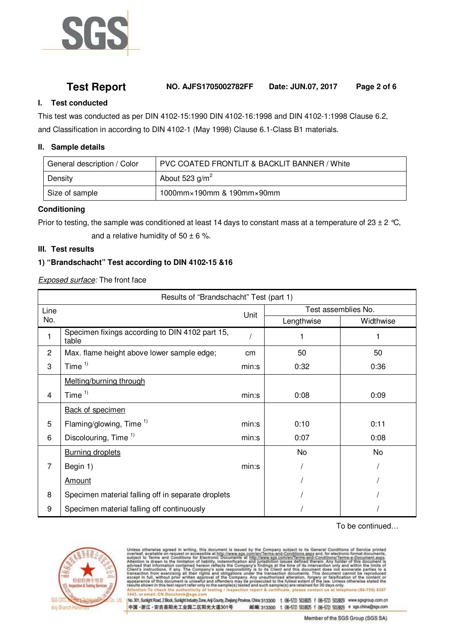

## **Test Report NO. AJFS1705002782FF Date: JUN.07, 2017 Page 2 of 6**

## **I. Test conducted**

This test was conducted as per DIN 4102-15:1990 DIN 4102-16:1998 and DIN 4102-1:1998 Clause 6.2, and Classification in according to DIN 4102-1 (May 1998) Clause 6.1-Class B1 materials.

### **II. Sample details**

| General description / Color | PVC COATED FRONTLIT & BACKLIT BANNER / White   |
|-----------------------------|------------------------------------------------|
| Density                     | About 523 $g/m^2$                              |
| Size of sample              | $1000$ mm $\times$ 190mm & 190mm $\times$ 90mm |

## **Conditioning**

Prior to testing, the sample was conditioned at least 14 days to constant mass at a temperature of 23  $\pm$  2 °C, and a relative humidity of  $50 \pm 6$  %.

### **III. Test results**

## **1) "Brandschacht" Test according to DIN 4102-15 &16**

Exposed surface: The front face

| Results of "Brandschacht" Test (part 1) |                                                          |       |                     |           |  |  |  |
|-----------------------------------------|----------------------------------------------------------|-------|---------------------|-----------|--|--|--|
| Line                                    |                                                          | Unit  | Test assemblies No. |           |  |  |  |
| No.                                     |                                                          |       | Lengthwise          | Widthwise |  |  |  |
| 1                                       | Specimen fixings according to DIN 4102 part 15,<br>table |       |                     |           |  |  |  |
| $\overline{2}$                          | Max. flame height above lower sample edge;               | cm    | 50                  | 50        |  |  |  |
| 3                                       | Time $1$                                                 | min:s | 0:32                | 0:36      |  |  |  |
|                                         | Melting/burning through                                  |       |                     |           |  |  |  |
| 4                                       | Time $1$                                                 | min:s | 0:08                | 0:09      |  |  |  |
|                                         | <b>Back of specimen</b>                                  |       |                     |           |  |  |  |
| 5                                       | Flaming/glowing, Time $1$                                | min:s | 0:10                | 0:11      |  |  |  |
| 6                                       | Discolouring, Time <sup>1)</sup>                         |       | 0:07                | 0:08      |  |  |  |
|                                         | <b>Burning droplets</b>                                  |       | No                  | <b>No</b> |  |  |  |
| 7                                       | Begin 1)                                                 | min:s |                     |           |  |  |  |
|                                         | Amount                                                   |       |                     |           |  |  |  |
| 8                                       | Specimen material falling off in separate droplets       |       |                     |           |  |  |  |
| 9                                       | Specimen material falling off continuously               |       |                     |           |  |  |  |

To be continued…



as otherwise agreed in writing, this document is issued by the Company subject to its General Conditions of Service printed<br>ect to Terms and Conditions for Electronic Documents in thte Company subject to its General Condit ort & certificat lease contact us

No. 301, Sunlight Road, 2 Block, Sunlight Industry Zone, Anji County, Zhejiang Province, China 313300 t (86-572) 5018825 f (86-572) 5018829 www.sgsgroup.com.cn 中国·浙江·安吉县阳光工业园二区阳光大道301号 邮编:313300 t (86-572) 5018625 f (86-572) 5018629 e sgs.china@sgs.com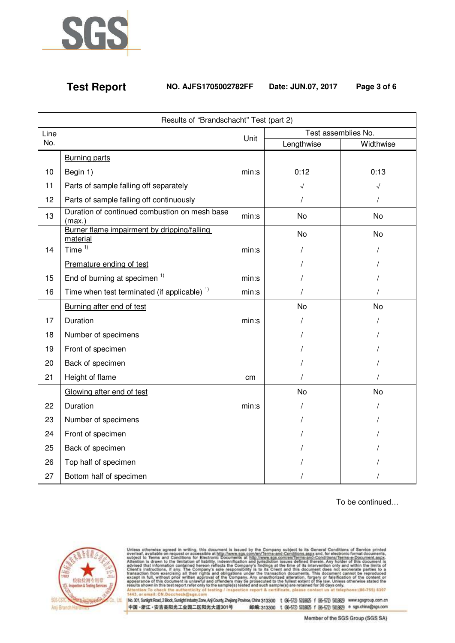

## **Test Report NO. AJFS1705002782FF Date: JUN.07, 2017 Page 3 of 6**

| Results of "Brandschacht" Test (part 2) |                                                         |       |                     |           |  |  |  |
|-----------------------------------------|---------------------------------------------------------|-------|---------------------|-----------|--|--|--|
| Line                                    |                                                         |       | Test assemblies No. |           |  |  |  |
| No.                                     |                                                         | Unit  | Lengthwise          | Widthwise |  |  |  |
|                                         | <b>Burning parts</b>                                    |       |                     |           |  |  |  |
| 10                                      | Begin 1)                                                |       | 0:12                | 0:13      |  |  |  |
| 11                                      | Parts of sample falling off separately                  |       |                     | $\sqrt{}$ |  |  |  |
| 12                                      | Parts of sample falling off continuously                |       |                     | $\prime$  |  |  |  |
| 13                                      | Duration of continued combustion on mesh base<br>(max.) | min:s | No                  | No        |  |  |  |
|                                         | Burner flame impairment by dripping/falling<br>material |       | <b>No</b>           | <b>No</b> |  |  |  |
| 14                                      | Time $1)$                                               | min:s |                     |           |  |  |  |
|                                         | Premature ending of test                                |       |                     |           |  |  |  |
| 15                                      | End of burning at specimen <sup>1)</sup>                | min:s |                     |           |  |  |  |
| 16                                      | Time when test terminated (if applicable) <sup>1)</sup> | min:s |                     |           |  |  |  |
|                                         | Burning after end of test                               |       | <b>No</b>           | <b>No</b> |  |  |  |
| 17                                      | Duration                                                | min:s |                     |           |  |  |  |
| 18                                      | Number of specimens                                     |       |                     |           |  |  |  |
| 19                                      | Front of specimen                                       |       |                     |           |  |  |  |
| 20                                      | Back of specimen                                        |       |                     |           |  |  |  |
| 21                                      | Height of flame                                         | cm    |                     |           |  |  |  |
|                                         | Glowing after end of test                               |       | No                  | No        |  |  |  |
| 22                                      | Duration                                                | min:s |                     |           |  |  |  |
| 23                                      | Number of specimens                                     |       |                     |           |  |  |  |
| 24                                      | Front of specimen                                       |       |                     |           |  |  |  |
| 25                                      | Back of specimen                                        |       |                     |           |  |  |  |
| 26                                      | Top half of specimen                                    |       |                     |           |  |  |  |
| 27                                      | Bottom half of specimen                                 |       |                     |           |  |  |  |

To be continued…



1443. or e

nail: CN.D

Unless otherwise agreed in writing, this document is issued by the Company subject to its General Conditions of Service printed overleaf, available on request or accessible at http://www.sgs.com/en/Terms-and-Conditions.as st telephone:(86-755) 6307 in:To ch testing / Insp ction report & certificate, please contact us

|No.301,Sunkptr Road, 2 Block,Sunkptr Industry Zone, Anji County, Zhejang Province, China 313300 t (86-572) 5018825 f (86-572) 5018829 www.sgsgroup.com.cn<br>|中国 - 浙江 - 安吉县阳光工业园二区阳光大道301号 - 邮编:313300 t (86-572) 5018825 f (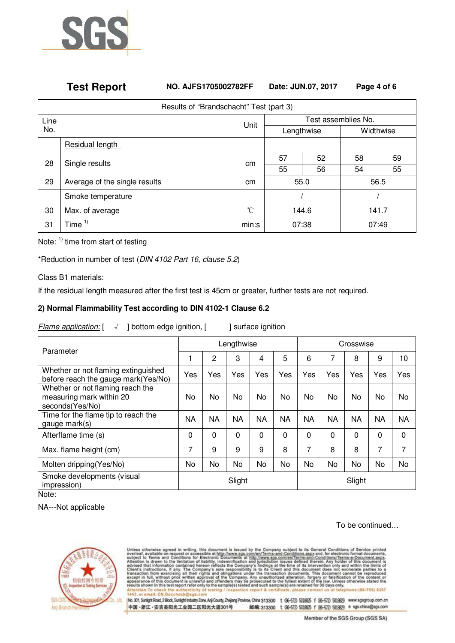

## **Test Report NO. AJFS1705002782FF Date: JUN.07, 2017 Page 4 of 6**

| Results of "Brandschacht" Test (part 3) |                               |       |                     |    |           |    |  |  |  |
|-----------------------------------------|-------------------------------|-------|---------------------|----|-----------|----|--|--|--|
| Line                                    |                               | Unit  | Test assemblies No. |    |           |    |  |  |  |
| No.                                     |                               |       | Lengthwise          |    | Widthwise |    |  |  |  |
|                                         | Residual length               |       |                     |    |           |    |  |  |  |
| 28<br>Single results                    |                               | cm    | 57                  | 52 | 58        | 59 |  |  |  |
|                                         |                               |       | 55                  | 56 | 54        | 55 |  |  |  |
| 29                                      | Average of the single results | cm    | 55.0                |    | 56.5      |    |  |  |  |
|                                         | Smoke temperature             |       |                     |    |           |    |  |  |  |
| 30                                      | Max. of average               | °C    | 144.6               |    | 141.7     |    |  |  |  |
| 31                                      | Time $1$                      | min:s | 07:38               |    | 07:49     |    |  |  |  |

Note: 1) time from start of testing

\*Reduction in number of test (DIN 4102 Part 16, clause 5.2)

Class B1 materials:

If the residual length measured after the first test is 45cm or greater, further tests are not required.

## **2) Normal Flammability Test according to DIN 4102-1 Clause 6.2**

 $F$ lame application:  $[ \quad \lor \quad ]$  bottom edge ignition,  $[ \quad ]$  surface ignition

| Parameter                                                                       | Lengthwise |           |           |           | Crosswise |           |             |           |             |           |
|---------------------------------------------------------------------------------|------------|-----------|-----------|-----------|-----------|-----------|-------------|-----------|-------------|-----------|
|                                                                                 |            | 2         | 3         | 4         | 5         | 6         | 7           | 8         | 9           | 10        |
| Whether or not flaming extinguished<br>before reach the gauge mark(Yes/No)      | Yes        | Yes       | Yes       | Yes       | Yes       | Yes       | Yes         | Yes       | Yes         | Yes       |
| Whether or not flaming reach the<br>measuring mark within 20<br>seconds(Yes/No) | No         | No        | No        | No.       | No        | No.       | No.         | No        | No          | No        |
| Time for the flame tip to reach the<br>gauge mark(s)                            | <b>NA</b>  | <b>NA</b> | <b>NA</b> | <b>NA</b> | <b>NA</b> | <b>NA</b> | <b>NA</b>   | <b>NA</b> | <b>NA</b>   | <b>NA</b> |
| Afterflame time (s)                                                             | 0          | $\Omega$  | $\Omega$  | 0         | $\Omega$  | $\Omega$  | $\mathbf 0$ | 0         | $\mathbf 0$ | 0         |
| Max. flame height (cm)                                                          | 7          | 9         | 9         | 9         | 8         | 7         | 8           | 8         | 7           | 7         |
| Molten dripping (Yes/No)                                                        | No         | No        | No        | <b>No</b> | No        | <b>No</b> | No          | No        | No          | No        |
| Smoke developments (visual<br>impression)<br>$N = 1 - 1$                        | Slight     |           |           | Slight    |           |           |             |           |             |           |

Note:

NA---Not applicable

### To be continued…



thenwise agreed in writing, this document is issued by the Company subject to its General Conditions of Service printed<br>to Terms and Conditions for Electronic Documents is sued by the Company subject to its General Conditi telephone:(16-755) 6307 ort & certificat lease con

No. 301, Sunlight Road, 2 Block, Sunlight Industry Zone, Anji County, Zhejiang Province, China 313300 t (86-572) 5018625 f (86-572) 5018629 www.sgsgroup.com.cn 中国·浙江·安吉县阳光工业园二区阳光大道301号 邮编:313300 t (86-572) 5018625 f (86-572) 5018629 e sgs.china@sgs.com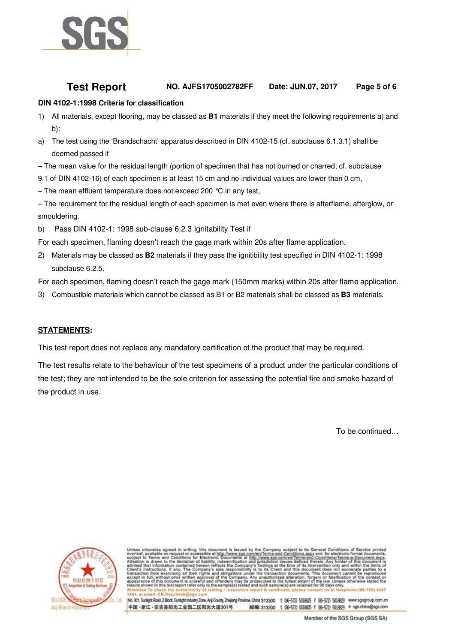

## **Test Report NO. AJFS1705002782FF Date: JUN.07, 2017 Page 5 of 6**

## **DIN 4102-1:1998 Criteria for classification**

- 1) All materials, except flooring, may be classed as **B1** materials if they meet the following requirements a) and b):
- a) The test using the 'Brandschacht' apparatus described in DIN 4102-15 (cf. subclause 6.1.3.1) shall be deemed passed if
- The mean value for the residual length (portion of specimen that has not burned or charred; cf. subclause
- 9.1 of DIN 4102-16) of each specimen is at least 15 cm and no individual values are lower than 0 cm,
- The mean effluent temperature does not exceed 200 °C in any test,

– The requirement for the residual length of each specimen is met even where there is afterflame, afterglow, or smouldering.

- b) Pass DIN 4102-1: 1998 sub-clause 6.2.3 Ignitability Test if
- For each specimen, flaming doesn't reach the gage mark within 20s after flame application.
- 2) Materials may be classed as **B2** materials if they pass the ignitibility test specified in DIN 4102-1: 1998 subclause 6.2.5.
- For each specimen, flaming doesn't reach the gage mark (150mm marks) within 20s after flame application.
- 3) Combustible materials which cannot be classed as B1 or B2 materials shall be classed as **B3** materials.

### **STATEMENTS:**

This test report does not replace any mandatory certification of the product that may be required.

The test results relate to the behaviour of the test specimens of a product under the particular conditions of the test; they are not intended to be the sole criterion for assessing the potential fire and smoke hazard of the product in use.

To be continued…



otherwise agreed in writing, this document is issued by the Company subject to its General Conditions of Service printed<br>to Terms and Conditions for accessible an http://www.sgs.com/en/Terms-and-Conditions.aggy and, for el forgery or falsificat<br>nt of the law. Unless cuted to the law. Unless oth and such sample(s) are retainr only to the sample(s) to

No. 301, Sunlight Road, 2 Block, Sunlight Industry Zone, Anji County, Zhejiang Province, China 313300 t (96-572) 5018925 f (96-572) 5018929 www.sqsgroup.com.cn 中国·浙江·安吉县阳光工业园二区阳光大道301号 邮编:313300 t (所-572) 5018625 f (所-572) 5018629 e sgs.china@sgs.com